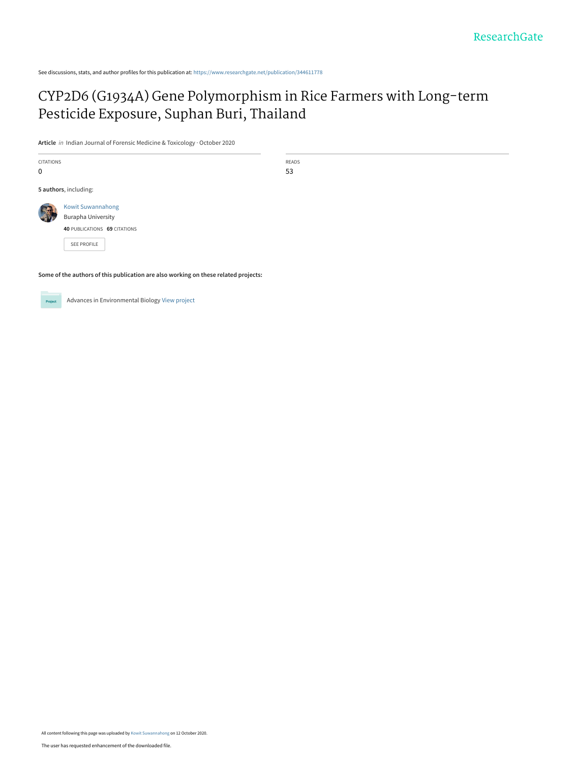See discussions, stats, and author profiles for this publication at: [https://www.researchgate.net/publication/344611778](https://www.researchgate.net/publication/344611778_CYP2D6_G1934A_Gene_Polymorphism_in_Rice_Farmers_with_Long-term_Pesticide_Exposure_Suphan_Buri_Thailand?enrichId=rgreq-f807902d9456dd02898cecb5ce3fca98-XXX&enrichSource=Y292ZXJQYWdlOzM0NDYxMTc3ODtBUzo5NDU4MTI1NjU2NTU1NTZAMTYwMjUxMDY5Njc4Mw%3D%3D&el=1_x_2&_esc=publicationCoverPdf)

# [CYP2D6 \(G1934A\) Gene Polymorphism in Rice Farmers with Long-term](https://www.researchgate.net/publication/344611778_CYP2D6_G1934A_Gene_Polymorphism_in_Rice_Farmers_with_Long-term_Pesticide_Exposure_Suphan_Buri_Thailand?enrichId=rgreq-f807902d9456dd02898cecb5ce3fca98-XXX&enrichSource=Y292ZXJQYWdlOzM0NDYxMTc3ODtBUzo5NDU4MTI1NjU2NTU1NTZAMTYwMjUxMDY5Njc4Mw%3D%3D&el=1_x_3&_esc=publicationCoverPdf) Pesticide Exposure, Suphan Buri, Thailand

**Article** in Indian Journal of Forensic Medicine & Toxicology · October 2020

CITATIONS 0

**5 authors**, including:

READS 53

[Kowit Suwannahong](https://www.researchgate.net/profile/Kowit-Suwannahong?enrichId=rgreq-f807902d9456dd02898cecb5ce3fca98-XXX&enrichSource=Y292ZXJQYWdlOzM0NDYxMTc3ODtBUzo5NDU4MTI1NjU2NTU1NTZAMTYwMjUxMDY5Njc4Mw%3D%3D&el=1_x_5&_esc=publicationCoverPdf) [Burapha University](https://www.researchgate.net/institution/Burapha_University?enrichId=rgreq-f807902d9456dd02898cecb5ce3fca98-XXX&enrichSource=Y292ZXJQYWdlOzM0NDYxMTc3ODtBUzo5NDU4MTI1NjU2NTU1NTZAMTYwMjUxMDY5Njc4Mw%3D%3D&el=1_x_6&_esc=publicationCoverPdf) **40** PUBLICATIONS **69** CITATIONS

[SEE PROFILE](https://www.researchgate.net/profile/Kowit-Suwannahong?enrichId=rgreq-f807902d9456dd02898cecb5ce3fca98-XXX&enrichSource=Y292ZXJQYWdlOzM0NDYxMTc3ODtBUzo5NDU4MTI1NjU2NTU1NTZAMTYwMjUxMDY5Njc4Mw%3D%3D&el=1_x_7&_esc=publicationCoverPdf)

**Some of the authors of this publication are also working on these related projects:**



Advances in Environmental Biology [View project](https://www.researchgate.net/project/Advances-in-Environmental-Biology?enrichId=rgreq-f807902d9456dd02898cecb5ce3fca98-XXX&enrichSource=Y292ZXJQYWdlOzM0NDYxMTc3ODtBUzo5NDU4MTI1NjU2NTU1NTZAMTYwMjUxMDY5Njc4Mw%3D%3D&el=1_x_9&_esc=publicationCoverPdf)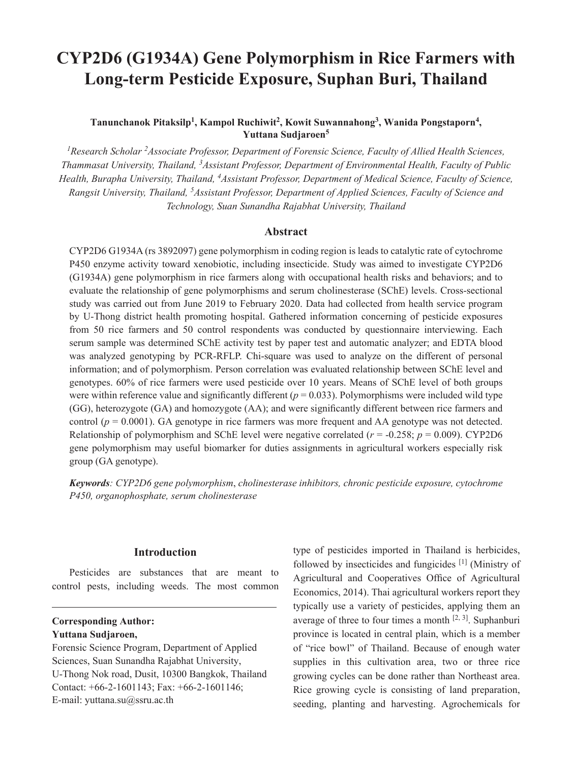# **CYP2D6 (G1934A) Gene Polymorphism in Rice Farmers with Long-term Pesticide Exposure, Suphan Buri, Thailand**

# Tanunchanok Pitaksilp<sup>1</sup>, Kampol Ruchiwit<sup>2</sup>, Kowit Suwannahong<sup>3</sup>, Wanida Pongstaporn<sup>4</sup>, **Yuttana Sudjaroen<sup>5</sup>**

<sup>1</sup> Research Scholar <sup>2</sup> Associate Professor, Department of Forensic Science, Faculty of Allied Health Sciences, *Thammasat University, Thailand, 3Assistant Professor, Department of Environmental Health, Faculty of Public Health, Burapha University, Thailand, 4Assistant Professor, Department of Medical Science, Faculty of Science, Rangsit University, Thailand, 5Assistant Professor, Department of Applied Sciences, Faculty of Science and Technology, Suan Sunandha Rajabhat University, Thailand*

#### **Abstract**

CYP2D6 G1934A (rs 3892097) gene polymorphism in coding region is leads to catalytic rate of cytochrome P450 enzyme activity toward xenobiotic, including insecticide. Study was aimed to investigate CYP2D6 (G1934A) gene polymorphism in rice farmers along with occupational health risks and behaviors; and to evaluate the relationship of gene polymorphisms and serum cholinesterase (SChE) levels. Cross-sectional study was carried out from June 2019 to February 2020. Data had collected from health service program by U-Thong district health promoting hospital. Gathered information concerning of pesticide exposures from 50 rice farmers and 50 control respondents was conducted by questionnaire interviewing. Each serum sample was determined SChE activity test by paper test and automatic analyzer; and EDTA blood was analyzed genotyping by PCR-RFLP. Chi-square was used to analyze on the different of personal information; and of polymorphism. Person correlation was evaluated relationship between SChE level and genotypes. 60% of rice farmers were used pesticide over 10 years. Means of SChE level of both groups were within reference value and significantly different (*p* = 0.033). Polymorphisms were included wild type (GG), heterozygote (GA) and homozygote (AA); and were significantly different between rice farmers and control (*p* = 0.0001). GA genotype in rice farmers was more frequent and AA genotype was not detected. Relationship of polymorphism and SChE level were negative correlated  $(r = -0.258; p = 0.009)$ . CYP2D6 gene polymorphism may useful biomarker for duties assignments in agricultural workers especially risk group (GA genotype).

*Keywords: CYP2D6 gene polymorphism*, *cholinesterase inhibitors, chronic pesticide exposure, cytochrome P450, organophosphate, serum cholinesterase*

# **Introduction**

Pesticides are substances that are meant to control pests, including weeds. The most common

# **Corresponding Author: Yuttana Sudjaroen,**

Forensic Science Program, Department of Applied Sciences, Suan Sunandha Rajabhat University, U-Thong Nok road, Dusit, 10300 Bangkok, Thailand Contact: +66-2-1601143; Fax: +66-2-1601146; E-mail: yuttana.su@ssru.ac.th

type of pesticides imported in Thailand is herbicides, followed by insecticides and fungicides [1] (Ministry of Agricultural and Cooperatives Office of Agricultural Economics, 2014). Thai agricultural workers report they typically use a variety of pesticides, applying them an average of three to four times a month  $[2, 3]$ . Suphanburi province is located in central plain, which is a member of "rice bowl" of Thailand. Because of enough water supplies in this cultivation area, two or three rice growing cycles can be done rather than Northeast area. Rice growing cycle is consisting of land preparation, seeding, planting and harvesting. Agrochemicals for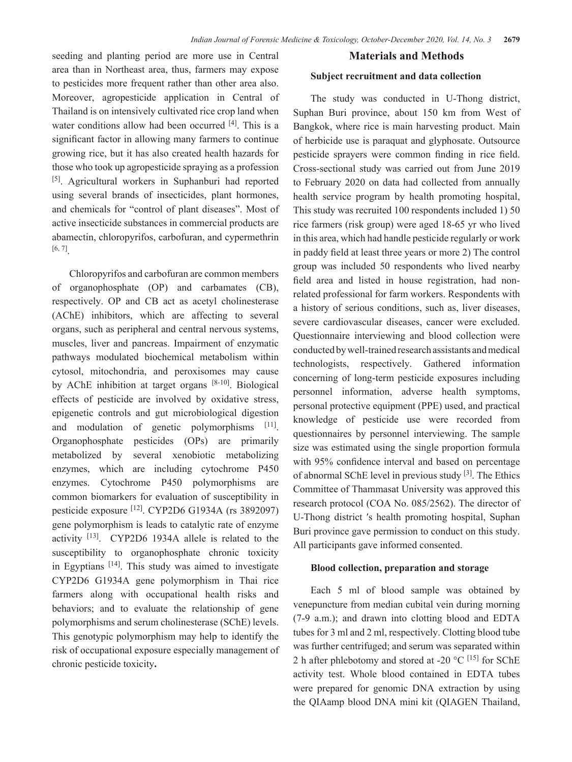seeding and planting period are more use in Central area than in Northeast area, thus, farmers may expose to pesticides more frequent rather than other area also. Moreover, agropesticide application in Central of Thailand is on intensively cultivated rice crop land when water conditions allow had been occurred [4]. This is a significant factor in allowing many farmers to continue growing rice, but it has also created health hazards for those who took up agropesticide spraying as a profession [5]. Agricultural workers in Suphanburi had reported using several brands of insecticides, plant hormones, and chemicals for "control of plant diseases". Most of active insecticide substances in commercial products are abamectin, chloropyrifos, carbofuran, and cypermethrin [6, 7].

Chloropyrifos and carbofuran are common members of organophosphate (OP) and carbamates (CB), respectively. OP and CB act as acetyl cholinesterase (AChE) inhibitors, which are affecting to several organs, such as peripheral and central nervous systems, muscles, liver and pancreas. Impairment of enzymatic pathways modulated biochemical metabolism within cytosol, mitochondria, and peroxisomes may cause by AChE inhibition at target organs [8-10]. Biological effects of pesticide are involved by oxidative stress, epigenetic controls and gut microbiological digestion and modulation of genetic polymorphisms [11]. Organophosphate pesticides (OPs) are primarily metabolized by several xenobiotic metabolizing enzymes, which are including cytochrome P450 enzymes. Cytochrome P450 polymorphisms are common biomarkers for evaluation of susceptibility in pesticide exposure [12]. CYP2D6 G1934A (rs 3892097) gene polymorphism is leads to catalytic rate of enzyme activity [13]. CYP2D6 1934A allele is related to the susceptibility to organophosphate chronic toxicity in Egyptians [14]. This study was aimed to investigate CYP2D6 G1934A gene polymorphism in Thai rice farmers along with occupational health risks and behaviors; and to evaluate the relationship of gene polymorphisms and serum cholinesterase (SChE) levels. This genotypic polymorphism may help to identify the risk of occupational exposure especially management of chronic pesticide toxicity**.**

#### **Materials and Methods**

#### **Subject recruitment and data collection**

The study was conducted in U-Thong district, Suphan Buri province, about 150 km from West of Bangkok, where rice is main harvesting product. Main of herbicide use is paraquat and glyphosate. Outsource pesticide sprayers were common finding in rice field. Cross-sectional study was carried out from June 2019 to February 2020 on data had collected from annually health service program by health promoting hospital, This study was recruited 100 respondents included 1) 50 rice farmers (risk group) were aged 18-65 yr who lived in this area, which had handle pesticide regularly or work in paddy field at least three years or more 2) The control group was included 50 respondents who lived nearby field area and listed in house registration, had nonrelated professional for farm workers. Respondents with a history of serious conditions, such as, liver diseases, severe cardiovascular diseases, cancer were excluded. Questionnaire interviewing and blood collection were conducted by well-trained research assistants and medical technologists, respectively. Gathered information concerning of long-term pesticide exposures including personnel information, adverse health symptoms, personal protective equipment (PPE) used, and practical knowledge of pesticide use were recorded from questionnaires by personnel interviewing. The sample size was estimated using the single proportion formula with 95% confidence interval and based on percentage of abnormal SChE level in previous study [3]. The Ethics Committee of Thammasat University was approved this research protocol (COA No. 085/2562). The director of U-Thong district ′s health promoting hospital, Suphan Buri province gave permission to conduct on this study. All participants gave informed consented.

#### **Blood collection, preparation and storage**

Each 5 ml of blood sample was obtained by venepuncture from median cubital vein during morning (7-9 a.m.); and drawn into clotting blood and EDTA tubes for 3 ml and 2 ml, respectively. Clotting blood tube was further centrifuged; and serum was separated within 2 h after phlebotomy and stored at -20  $^{\circ}$ C <sup>[15]</sup> for SChE activity test. Whole blood contained in EDTA tubes were prepared for genomic DNA extraction by using the QIAamp blood DNA mini kit (QIAGEN Thailand,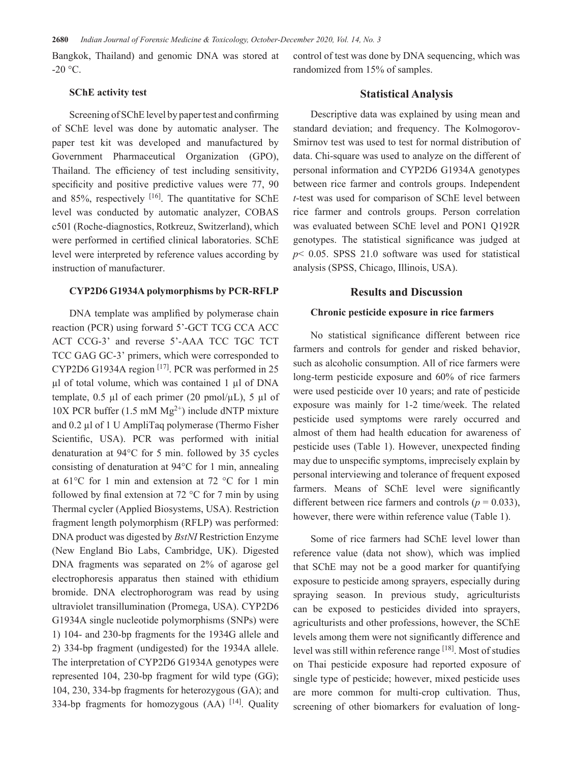Bangkok, Thailand) and genomic DNA was stored at  $-20$  °C.

#### **SChE activity test**

Screening of SChE level by paper test and confirming of SChE level was done by automatic analyser. The paper test kit was developed and manufactured by Government Pharmaceutical Organization (GPO), Thailand. The efficiency of test including sensitivity, specificity and positive predictive values were 77, 90 and 85%, respectively  $[16]$ . The quantitative for SChE level was conducted by automatic analyzer, COBAS c501 (Roche-diagnostics, Rotkreuz, Switzerland), which were performed in certified clinical laboratories. SChE level were interpreted by reference values according by instruction of manufacturer.

#### **CYP2D6 G1934A polymorphisms by PCR-RFLP**

DNA template was amplified by polymerase chain reaction (PCR) using forward 5'-GCT TCG CCA ACC ACT CCG-3' and reverse 5'-AAA TCC TGC TCT TCC GAG GC-3' primers, which were corresponded to CYP2D6 G1934A region [17]. PCR was performed in 25 µl of total volume, which was contained 1 µl of DNA template, 0.5  $\mu$ l of each primer (20 pmol/ $\mu$ L), 5  $\mu$ l of  $10X$  PCR buffer (1.5 mM  $Mg^{2+}$ ) include dNTP mixture and 0.2 µl of 1 U AmpliTaq polymerase (Thermo Fisher Scientific, USA). PCR was performed with initial denaturation at 94°C for 5 min. followed by 35 cycles consisting of denaturation at 94°C for 1 min, annealing at 61°C for 1 min and extension at 72 °C for 1 min followed by final extension at  $72 \degree C$  for 7 min by using Thermal cycler (Applied Biosystems, USA). Restriction fragment length polymorphism (RFLP) was performed: DNA product was digested by *BstNI* Restriction Enzyme (New England Bio Labs, Cambridge, UK). Digested DNA fragments was separated on 2% of agarose gel electrophoresis apparatus then stained with ethidium bromide. DNA electrophorogram was read by using ultraviolet transillumination (Promega, USA). CYP2D6 G1934A single nucleotide polymorphisms (SNPs) were 1) 104- and 230-bp fragments for the 1934G allele and 2) 334-bp fragment (undigested) for the 1934A allele. The interpretation of CYP2D6 G1934A genotypes were represented 104, 230-bp fragment for wild type (GG); 104, 230, 334-bp fragments for heterozygous (GA); and 334-bp fragments for homozygous (AA) [14]. Quality control of test was done by DNA sequencing, which was randomized from 15% of samples.

# **Statistical Analysis**

Descriptive data was explained by using mean and standard deviation; and frequency. The Kolmogorov-Smirnov test was used to test for normal distribution of data. Chi-square was used to analyze on the different of personal information and CYP2D6 G1934A genotypes between rice farmer and controls groups. Independent *t*-test was used for comparison of SChE level between rice farmer and controls groups. Person correlation was evaluated between SChE level and PON1 Q192R genotypes. The statistical significance was judged at *p*< 0.05. SPSS 21.0 software was used for statistical analysis (SPSS, Chicago, Illinois, USA).

#### **Results and Discussion**

#### **Chronic pesticide exposure in rice farmers**

No statistical significance different between rice farmers and controls for gender and risked behavior, such as alcoholic consumption. All of rice farmers were long-term pesticide exposure and 60% of rice farmers were used pesticide over 10 years; and rate of pesticide exposure was mainly for 1-2 time/week. The related pesticide used symptoms were rarely occurred and almost of them had health education for awareness of pesticide uses (Table 1). However, unexpected finding may due to unspecific symptoms, imprecisely explain by personal interviewing and tolerance of frequent exposed farmers. Means of SChE level were significantly different between rice farmers and controls ( $p = 0.033$ ), however, there were within reference value (Table 1).

Some of rice farmers had SChE level lower than reference value (data not show), which was implied that SChE may not be a good marker for quantifying exposure to pesticide among sprayers, especially during spraying season. In previous study, agriculturists can be exposed to pesticides divided into sprayers, agriculturists and other professions, however, the SChE levels among them were not significantly difference and level was still within reference range [18]. Most of studies on Thai pesticide exposure had reported exposure of single type of pesticide; however, mixed pesticide uses are more common for multi-crop cultivation. Thus, screening of other biomarkers for evaluation of long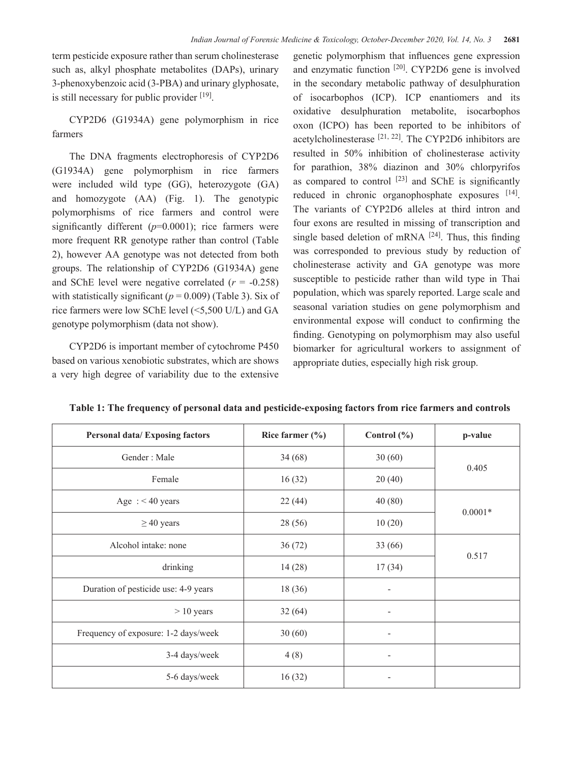term pesticide exposure rather than serum cholinesterase such as, alkyl phosphate metabolites (DAPs), urinary 3-phenoxybenzoic acid (3-PBA) and urinary glyphosate, is still necessary for public provider [19].

CYP2D6 (G1934A) gene polymorphism in rice farmers

The DNA fragments electrophoresis of CYP2D6 (G1934A) gene polymorphism in rice farmers were included wild type (GG), heterozygote (GA) and homozygote (AA) (Fig. 1). The genotypic polymorphisms of rice farmers and control were significantly different (*p*=0.0001); rice farmers were more frequent RR genotype rather than control (Table 2), however AA genotype was not detected from both groups. The relationship of CYP2D6 (G1934A) gene and SChE level were negative correlated  $(r = -0.258)$ with statistically significant ( $p = 0.009$ ) (Table 3). Six of rice farmers were low SChE level (<5,500 U/L) and GA genotype polymorphism (data not show).

CYP2D6 is important member of cytochrome P450 based on various xenobiotic substrates, which are shows a very high degree of variability due to the extensive

genetic polymorphism that influences gene expression and enzymatic function <sup>[20]</sup>. CYP2D6 gene is involved in the secondary metabolic pathway of desulphuration of isocarbophos (ICP). ICP enantiomers and its oxidative desulphuration metabolite, isocarbophos oxon (ICPO) has been reported to be inhibitors of acetylcholinesterase  $[21, 22]$ . The CYP2D6 inhibitors are resulted in 50% inhibition of cholinesterase activity for parathion, 38% diazinon and 30% chlorpyrifos as compared to control  $[23]$  and SChE is significantly reduced in chronic organophosphate exposures [14]. The variants of CYP2D6 alleles at third intron and four exons are resulted in missing of transcription and single based deletion of mRNA  $[24]$ . Thus, this finding was corresponded to previous study by reduction of cholinesterase activity and GA genotype was more susceptible to pesticide rather than wild type in Thai population, which was sparely reported. Large scale and seasonal variation studies on gene polymorphism and environmental expose will conduct to confirming the finding. Genotyping on polymorphism may also useful biomarker for agricultural workers to assignment of appropriate duties, especially high risk group.

| <b>Personal data/Exposing factors</b> | Rice farmer $(\% )$ | Control $(\% )$ | p-value   |  |  |
|---------------------------------------|---------------------|-----------------|-----------|--|--|
| Gender: Male                          | 34(68)              | 30(60)          |           |  |  |
| Female                                | 16(32)              | 20(40)          | 0.405     |  |  |
| Age : $<$ 40 years                    | 22(44)              | 40(80)          |           |  |  |
| $\geq$ 40 years                       | 28 (56)             | 10(20)          | $0.0001*$ |  |  |
| Alcohol intake: none                  | 36(72)              | 33 (66)         |           |  |  |
| drinking                              | 14(28)              | 17(34)          | 0.517     |  |  |
| Duration of pesticide use: 4-9 years  | 18 (36)             |                 |           |  |  |
| $> 10$ years                          | 32(64)              |                 |           |  |  |
| Frequency of exposure: 1-2 days/week  | 30(60)              | -               |           |  |  |
| 3-4 days/week                         | 4(8)                | -               |           |  |  |
| 5-6 days/week                         | 16(32)              |                 |           |  |  |

**Table 1: The frequency of personal data and pesticide-exposing factors from rice farmers and controls**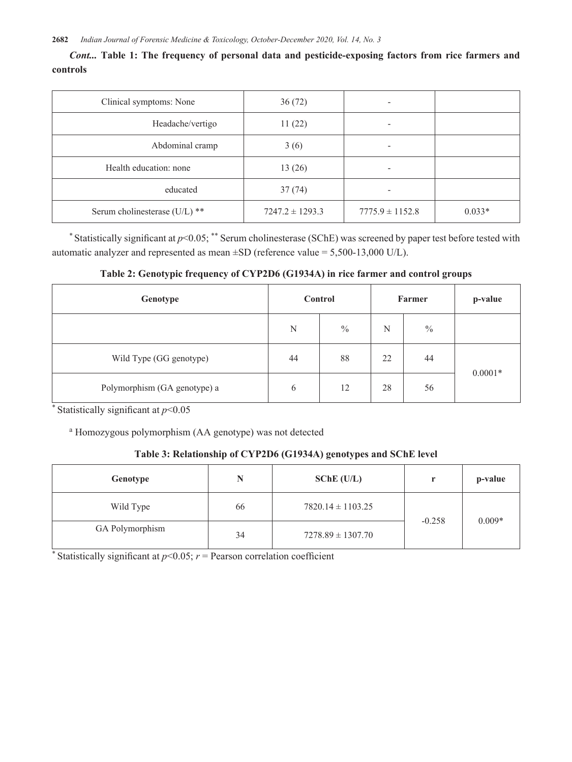*Cont...* **Table 1: The frequency of personal data and pesticide-exposing factors from rice farmers and controls**

| Clinical symptoms: None       | 36(72)              |                     |          |
|-------------------------------|---------------------|---------------------|----------|
| Headache/vertigo              | 11(22)              | -                   |          |
| Abdominal cramp               | 3(6)                | -                   |          |
| Health education: none        | 13(26)              |                     |          |
| educated                      | 37(74)              |                     |          |
| Serum cholinesterase (U/L) ** | $7247.2 \pm 1293.3$ | $7775.9 \pm 1152.8$ | $0.033*$ |

\* Statistically significant at *p*<0.05; \*\* Serum cholinesterase (SChE) was screened by paper test before tested with automatic analyzer and represented as mean  $\pm SD$  (reference value = 5,500-13,000 U/L).

#### **Table 2: Genotypic frequency of CYP2D6 (G1934A) in rice farmer and control groups**

| Genotype                     | Control |               | Farmer |               | p-value   |
|------------------------------|---------|---------------|--------|---------------|-----------|
|                              | N       | $\frac{0}{0}$ | N      | $\frac{0}{0}$ |           |
| Wild Type (GG genotype)      | 44      | 88            | 22     | 44            | $0.0001*$ |
| Polymorphism (GA genotype) a | 6       | 12            | 28     | 56            |           |

\* Statistically significant at *p*<0.05

a Homozygous polymorphism (AA genotype) was not detected

# **Table 3: Relationship of CYP2D6 (G1934A) genotypes and SChE level**

| Genotype        | N  | SChe (U/L)            |          | p-value  |
|-----------------|----|-----------------------|----------|----------|
| Wild Type       | 66 | $7820.14 \pm 1103.25$ |          | $0.009*$ |
| GA Polymorphism | 34 | $7278.89 \pm 1307.70$ | $-0.258$ |          |

\* Statistically significant at  $p<0.05$ ;  $r =$  Pearson correlation coefficient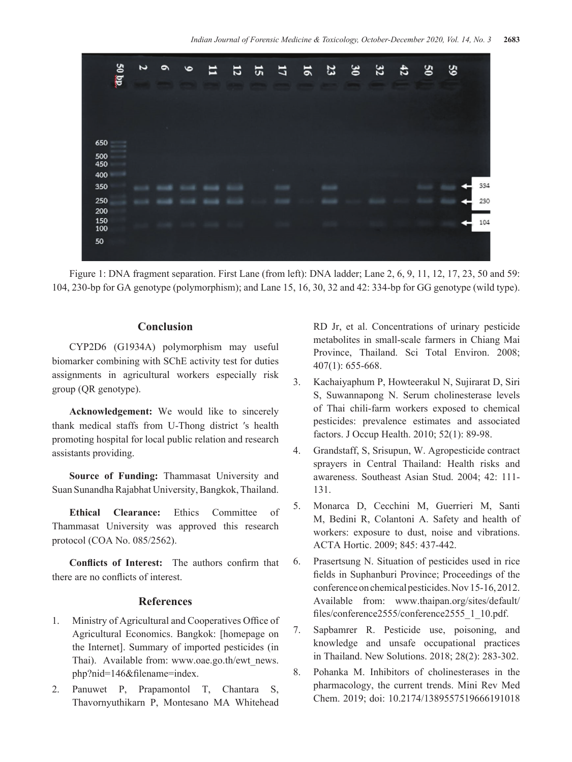

Figure 1: DNA fragment separation. First Lane (from left): DNA ladder; Lane 2, 6, 9, 11, 12, 17, 23, 50 and 59: 104, 230-bp for GA genotype (polymorphism); and Lane 15, 16, 30, 32 and 42: 334-bp for GG genotype (wild type).

#### **Conclusion**

CYP2D6 (G1934A) polymorphism may useful biomarker combining with SChE activity test for duties assignments in agricultural workers especially risk group (QR genotype).

**Acknowledgement:** We would like to sincerely thank medical staffs from U-Thong district ′s health promoting hospital for local public relation and research assistants providing.

**Source of Funding:** Thammasat University and Suan Sunandha Rajabhat University, Bangkok, Thailand.

**Ethical Clearance:** Ethics Committee of Thammasat University was approved this research protocol (COA No. 085/2562).

**Conflicts of Interest:** The authors confirm that there are no conflicts of interest.

#### **References**

- 1. Ministry of Agricultural and Cooperatives Office of Agricultural Economics. Bangkok: [homepage on the Internet]. Summary of imported pesticides (in Thai). Available from: www.oae.go.th/ewt\_news. php?nid=146&filename=index.
- 2. Panuwet P, Prapamontol T, Chantara S, Thavornyuthikarn P, Montesano MA Whitehead

RD Jr, et al. Concentrations of urinary pesticide metabolites in small-scale farmers in Chiang Mai Province, Thailand. Sci Total Environ. 2008; 407(1): 655-668.

- 3. Kachaiyaphum P, Howteerakul N, Sujirarat D, Siri S, Suwannapong N. Serum cholinesterase levels of Thai chili-farm workers exposed to chemical pesticides: prevalence estimates and associated factors. J Occup Health. 2010; 52(1): 89-98.
- 4. Grandstaff, S, Srisupun, W. Agropesticide contract sprayers in Central Thailand: Health risks and awareness. Southeast Asian Stud. 2004; 42: 111- 131.
- 5. Monarca D, Cecchini M, Guerrieri M, Santi M, Bedini R, Colantoni A. Safety and health of workers: exposure to dust, noise and vibrations. ACTA Hortic. 2009; 845: 437-442.
- 6. Prasertsung N. Situation of pesticides used in rice fields in Suphanburi Province; Proceedings of the conference on chemical pesticides. Nov 15-16, 2012. Available from: www.thaipan.org/sites/default/ files/conference2555/conference2555\_1\_10.pdf.
- 7. Sapbamrer R. Pesticide use, poisoning, and knowledge and unsafe occupational practices in Thailand. New Solutions. 2018; 28(2): 283-302.
- 8. Pohanka M. Inhibitors of cholinesterases in the pharmacology, the current trends. Mini Rev Med Chem. 2019; doi: 10.2174/1389557519666191018